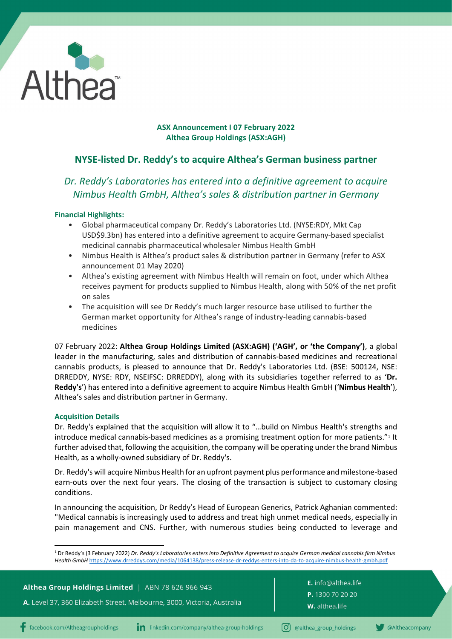

## **ASX Announcement I 07 February 2022 Althea Group Holdings (ASX:AGH)**

# **NYSE-listed Dr. Reddy's to acquire Althea's German business partner**

# *Dr. Reddy's Laboratories has entered into a definitive agreement to acquire Nimbus Health GmbH, Althea's sales & distribution partner in Germany*

## **Financial Highlights:**

- Global pharmaceutical company Dr. Reddy's Laboratories Ltd. (NYSE:RDY, Mkt Cap USD\$9.3bn) has entered into a definitive agreement to acquire Germany-based specialist medicinal cannabis pharmaceutical wholesaler Nimbus Health GmbH
- Nimbus Health is Althea's product sales & distribution partner in Germany (refer to ASX announcement 01 May 2020)
- Althea's existing agreement with Nimbus Health will remain on foot, under which Althea receives payment for products supplied to Nimbus Health, along with 50% of the net profit on sales
- The acquisition will see Dr Reddy's much larger resource base utilised to further the German market opportunity for Althea's range of industry-leading cannabis-based medicines

07 February 2022: **Althea Group Holdings Limited (ASX:AGH) ('AGH', or 'the Company')**, a global leader in the manufacturing, sales and distribution of cannabis-based medicines and recreational cannabis products, is pleased to announce that Dr. Reddy's Laboratories Ltd. (BSE: 500124, NSE: DRREDDY, NYSE: RDY, NSEIFSC: DRREDDY), along with its subsidiaries together referred to as '**Dr. Reddy's**') has entered into a definitive agreement to acquire Nimbus Health GmbH ('**Nimbus Health**'), Althea's sales and distribution partner in Germany.

## **Acquisition Details**

Dr. Reddy's explained that the acquisition will allow it to "…build on Nimbus Health's strengths and introduce medical cannabis-based medicines as a promising treatment option for more patients."[1](#page-0-0) It further advised that, following the acquisition, the company will be operating under the brand Nimbus Health, as a wholly-owned subsidiary of Dr. Reddy's.

Dr. Reddy's will acquire Nimbus Health for an upfront payment plus performance and milestone-based earn-outs over the next four years. The closing of the transaction is subject to customary closing conditions.

In announcing the acquisition, Dr Reddy's Head of European Generics, Patrick Aghanian commented: "Medical cannabis is increasingly used to address and treat high unmet medical needs, especially in pain management and CNS. Further, with numerous studies being conducted to leverage and

<sup>1</sup> Dr Reddy's (3 February 2022) *Dr. Reddy's Laboratories enters into Definitive Agreement to acquire German medical cannabis firm Nimbus Health GmbH* <https://www.drreddys.com/media/1064138/press-release-dr-reddys-enters-into-da-to-acquire-nimbus-health-gmbh.pdf>

<span id="page-0-0"></span>

| Althea Group Holdings Limited   ABN 78 626 966 943<br><b>A.</b> Level 37, 360 Elizabeth Street, Melbourne, 3000, Victoria, Australia <sup>l</sup> | <b>E.</b> info@althea.li |
|---------------------------------------------------------------------------------------------------------------------------------------------------|--------------------------|
|                                                                                                                                                   | P. 1300 70 20 20         |
|                                                                                                                                                   | W. althea.life           |
|                                                                                                                                                   |                          |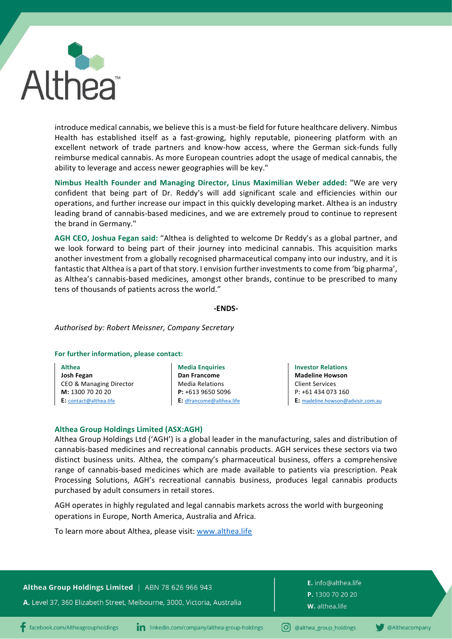

introduce medical cannabis, we believe this is a must-be field for future healthcare delivery. Nimbus Health has established itself as a fast-growing, highly reputable, pioneering platform with an excellent network of trade partners and know-how access, where the German sick-funds fully reimburse medical cannabis. As more European countries adopt the usage of medical cannabis, the ability to leverage and access newer geographies will be key."

**Nimbus Health Founder and Managing Director, Linus Maximilian Weber added:** "We are very confident that being part of Dr. Reddy's will add significant scale and efficiencies within our operations, and further increase our impact in this quickly developing market. Althea is an industry leading brand of cannabis-based medicines, and we are extremely proud to continue to represent the brand in Germany."

**AGH CEO, Joshua Fegan said:** "Althea is delighted to welcome Dr Reddy's as a global partner, and we look forward to being part of their journey into medicinal cannabis. This acquisition marks another investment from a globally recognised pharmaceutical company into our industry, and it is fantastic that Althea is a part of that story. I envision further investments to come from 'big pharma', as Althea's cannabis-based medicines, amongst other brands, continue to be prescribed to many tens of thousands of patients across the world."

#### **-ENDS-**

#### *Authorised by: Robert Meissner, Company Secretary*

#### **For further information, please contact:**

| <b>Althea</b>           |
|-------------------------|
| Josh Fegan              |
| CEO & Managing Director |
| M: 1300 70 20 20        |
| E: contact@althea.life  |

**Media Enquiries Dan Francome** Media Relations **P:** +613 9650 5096 **E:** [dfrancome@althea.life](mailto:dfrancome@althea.life)

**Investor Relations Madeline Howson** Client Services P: +61 434 073 160 **E:** [madeline.howson@advisir.com.au](mailto:madeline.howson@advisir.com.au)

#### **Althea Group Holdings Limited (ASX:AGH)**

Althea Group Holdings Ltd ('AGH') is a global leader in the manufacturing, sales and distribution of cannabis-based medicines and recreational cannabis products. AGH services these sectors via two distinct business units. Althea, the company's pharmaceutical business, offers a comprehensive range of cannabis-based medicines which are made available to patients via prescription. Peak Processing Solutions, AGH's recreational cannabis business, produces legal cannabis products purchased by adult consumers in retail stores.

AGH operates in highly regulated and legal cannabis markets across the world with burgeoning operations in Europe, North America, Australia and Africa.

To learn more about Althea, please visit: [www.althea.life](http://www.althea.life/)

### Althea Group Holdings Limited | ABN 78 626 966 943

A. Level 37, 360 Elizabeth Street, Melbourne, 3000, Victoria, Australia

E. info@althea.life P. 1300 70 20 20 W. althea.life